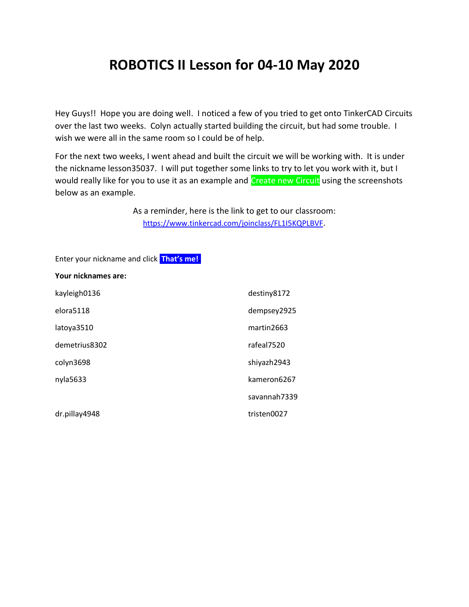# **ROBOTICS II Lesson for 04-10 May 2020**

Hey Guys!! Hope you are doing well. I noticed a few of you tried to get onto TinkerCAD Circuits over the last two weeks. Colyn actually started building the circuit, but had some trouble. I wish we were all in the same room so I could be of help.

For the next two weeks, I went ahead and built the circuit we will be working with. It is under the nickname lesson35037. I will put together some links to try to let you work with it, but I would really like for you to use it as an example and Create new Circuit using the screenshots below as an example.

> As a reminder, here is the link to get to our classroom: <https://www.tinkercad.com/joinclass/FL1I5KQPLBVF>.

Enter your nickname and click **That's me!. Your nicknames are:**

| kayleigh0136  | destiny8172  |
|---------------|--------------|
| elora5118     | dempsey2925  |
| latoya3510    | martin2663   |
| demetrius8302 | rafeal7520   |
| colyn3698     | shiyazh2943  |
| nyla5633      | kameron6267  |
|               | savannah7339 |
| dr.pillay4948 | tristen0027  |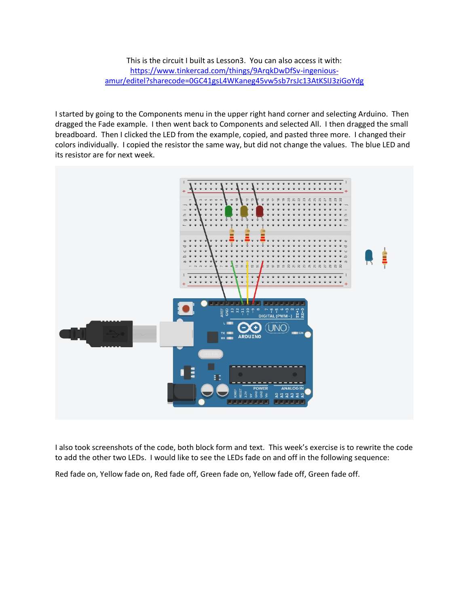This is the circuit I built as Lesson3. You can also access it with: [https://www.tinkercad.com/things/9ArqkDwDfSv-ingenious](https://www.tinkercad.com/things/9ArqkDwDfSv-ingenious-amur/editel?sharecode=0GC41gsL4WKaneg45vw5sb7rsJc13AtKSIJ3ziGoYdg)[amur/editel?sharecode=0GC41gsL4WKaneg45vw5sb7rsJc13AtKSIJ3ziGoYdg](https://www.tinkercad.com/things/9ArqkDwDfSv-ingenious-amur/editel?sharecode=0GC41gsL4WKaneg45vw5sb7rsJc13AtKSIJ3ziGoYdg)

I started by going to the Components menu in the upper right hand corner and selecting Arduino. Then dragged the Fade example. I then went back to Components and selected All. I then dragged the small breadboard. Then I clicked the LED from the example, copied, and pasted three more. I changed their colors individually. I copied the resistor the same way, but did not change the values. The blue LED and its resistor are for next week.



I also took screenshots of the code, both block form and text. This week's exercise is to rewrite the code to add the other two LEDs. I would like to see the LEDs fade on and off in the following sequence:

Red fade on, Yellow fade on, Red fade off, Green fade on, Yellow fade off, Green fade off.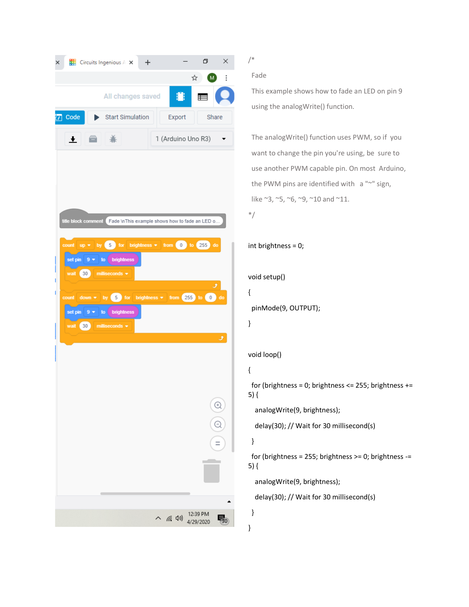| × |                                                    |                 |          | $\frac{1}{2}$ Circuits Ingenious $A \times$                                                                             |  | $+$ |                    |                                                                                                                                                                            |                       | O           | $\times$ |  |
|---|----------------------------------------------------|-----------------|----------|-------------------------------------------------------------------------------------------------------------------------|--|-----|--------------------|----------------------------------------------------------------------------------------------------------------------------------------------------------------------------|-----------------------|-------------|----------|--|
|   |                                                    |                 |          |                                                                                                                         |  |     |                    |                                                                                                                                                                            | ☆                     | ( M         | i        |  |
|   |                                                    |                 |          | All changes saved                                                                                                       |  |     |                    | 8                                                                                                                                                                          |                       | $\equiv$    |          |  |
|   | Code                                               |                 |          | <b>Start Simulation</b>                                                                                                 |  |     |                    | Export                                                                                                                                                                     |                       | Share       |          |  |
|   | I E<br>一米<br>$\bullet$                             |                 |          |                                                                                                                         |  |     | 1 (Arduino Uno R3) |                                                                                                                                                                            |                       |             |          |  |
|   | title block comment<br>count<br>set pin<br>set pin | $up =$<br>$9 -$ | $9 - 10$ | brightness<br>wait $\left(30\right)$ milliseconds $\sim$<br>to brightness<br>wait $\left(30\right)$ milliseconds $\sim$ |  |     |                    | Fade \nThis example shows how to fade an LED o<br>by $\boxed{5}$ for brightness $\bullet$ from 0 to 255 do<br>count down $\star$ by 5 for brightness $\star$ from 255 to 0 |                       | گ           | do<br>ق  |  |
|   |                                                    |                 |          |                                                                                                                         |  |     |                    |                                                                                                                                                                            |                       | E<br>E<br>Ξ |          |  |
|   |                                                    |                 |          |                                                                                                                         |  |     | ∧                  | 后(1)                                                                                                                                                                       | 12:39 PM<br>4/29/2020 |             | 130      |  |
|   |                                                    |                 |          |                                                                                                                         |  |     |                    |                                                                                                                                                                            |                       |             |          |  |

Fade

/\*

 This example shows how to fade an LED on pin 9 using the analogWrite() function.

 The analogWrite() function uses PWM, so if you want to change the pin you're using, be sure to use another PWM capable pin. On most Arduino, the PWM pins are identified with a "~" sign, like ~3, ~5, ~6, ~9, ~10 and ~11.



#### int brightness = 0;

```
void setup()
```

```
{
```
pinMode(9, OUTPUT);

```
}
```
### void loop()

## {

for (brightness = 0; brightness <= 255; brightness += 5) {

analogWrite(9, brightness);

delay(30); // Wait for 30 millisecond(s)

#### }

 } }

 for (brightness = 255; brightness >= 0; brightness -= 5) {

analogWrite(9, brightness);

delay(30); // Wait for 30 millisecond(s)